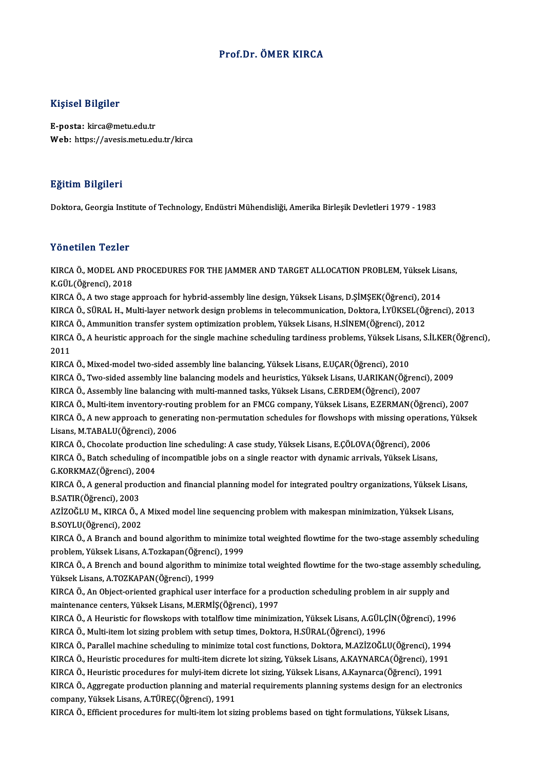### Prof.Dr. ÖMER KIRCA

### Kişisel Bilgiler

E-posta: kirca@metu.edu.tr Web: https://avesis.metu.edu.tr/kirca

### Eğitim Bilgileri

Doktora, Georgia Institute of Technology, Endüstri Mühendisliği, Amerika Birleşik Devletleri 1979 - 1983

### Yönetilen Tezler

Yönetilen Tezler<br>KIRCA Ö., MODEL AND PROCEDURES FOR THE JAMMER AND TARGET ALLOCATION PROBLEM, Yüksek Lisans,<br>K.CÜL(Öğrensi), 2019 **Exercise Profilm**<br>K.GÜL(Öğrenci), 2018<br>K.GÜL(Öğrenci), 2018 KIRCA Ö., MODEL AND PROCEDURES FOR THE JAMMER AND TARGET ALLOCATION PROBLEM, Yüksek Lis<br>K.GÜL(Öğrenci), 2018<br>KIRCA Ö., A two stage approach for hybrid-assembly line design, Yüksek Lisans, D.ŞİMŞEK(Öğrenci), 2014<br>KIRCA Ö. S K.GÜL(Öğrenci), 2018<br>KIRCA Ö., A two stage approach for hybrid-assembly line design, Yüksek Lisans, D.ŞİMŞEK(Öğrenci), 2014<br>KIRCA Ö., SÜRAL H., Multi-layer network design problems in telecommunication, Doktora, İ.YÜKSEL(Öğ KIRCA Ö., A two stage approach for hybrid-assembly line design, Yüksek Lisans, D.ŞİMŞEK(Öğrenci), 20<br>KIRCA Ö., SÜRAL H., Multi-layer network design problems in telecommunication, Doktora, İ.YÜKSEL(Öğ<br>KIRCA Ö., Ammunition t KIRCA Ö., SÜRAL H., Multi-layer network design problems in telecommunication, Doktora, İ.YÜKSEL(Öğrenci), 2013<br>KIRCA Ö., Ammunition transfer system optimization problem, Yüksek Lisans, H.SİNEM(Öğrenci), 2012<br>KIRCA Ö., A he KIRCA<br>KIRCA<br>2011<br>KIRCA KIRCA Ö., A heuristic approach for the single machine scheduling tardiness problems, Yüksek Lisa<br>2011<br>KIRCA Ö., Mixed-model two-sided assembly line balancing, Yüksek Lisans, E.UÇAR(Öğrenci), 2010<br>KIRCA Ö. Ture sided assemb 2011<br>KIRCA Ö., Mixed-model two-sided assembly line balancing, Yüksek Lisans, E.UÇAR(Öğrenci), 2010<br>KIRCA Ö., Two-sided assembly line balancing models and heuristics, Yüksek Lisans, U.ARIKAN(Öğrenci), 2009 KIRCA Ö., Assembly line balancing with multi-manned tasks, Yüksek Lisans, C.ERDEM(Öğrenci), 2007 KIRCA Ö., Two-sided assembly line balancing models and heuristics, Yüksek Lisans, U.ARIKAN(Öğrenci), 2009<br>KIRCA Ö., Assembly line balancing with multi-manned tasks, Yüksek Lisans, C.ERDEM(Öğrenci), 2007<br>KIRCA Ö., Multi-ite KIRCA Ö., Assembly line balancing with multi-manned tasks, Yüksek Lisans, C.ERDEM(Öğrenci), 2007<br>KIRCA Ö., Multi-item inventory-routing problem for an FMCG company, Yüksek Lisans, E.ZERMAN(Öğrenci), 2007<br>KIRCA Ö., A new ap KIRCA Ö., Multi-item inventory-rou<br>KIRCA Ö., A new approach to gener<br>Lisans, M.TABALU(Öğrenci), 2006<br>KIRCA Ö., Chasalata production lin KIRCA Ö., A new approach to generating non-permutation schedules for flowshops with missing operati<br>Lisans, M.TABALU(Öğrenci), 2006<br>KIRCA Ö., Chocolate production line scheduling: A case study, Yüksek Lisans, E.ÇÖLOVA(Öğre Lisans, M.TABALU(Öğrenci), 2006<br>KIRCA Ö., Chocolate production line scheduling: A case study, Yüksek Lisans, E.ÇÖLOVA(Öğrenci), 2006<br>KIRCA Ö., Batch scheduling of incompatible jobs on a single reactor with dynamic arrivals KIRCA Ö., Chocolate producti<br>KIRCA Ö., Batch scheduling of<br>G.KORKMAZ(Öğrenci), 2004<br>KIRCA Ö. A seneral producti KIRCA Ö., Batch scheduling of incompatible jobs on a single reactor with dynamic arrivals, Yüksek Lisans,<br>G.KORKMAZ(Öğrenci), 2004<br>KIRCA Ö., A general production and financial planning model for integrated poultry organiza G.KORKMAZ(Öğrenci), 20<br>KIRCA Ö., A general prod<br>B.SATIR(Öğrenci), 2003<br>AZİZOČLU M., KIRCA Ö. KIRCA Ö., A general production and financial planning model for integrated poultry organizations, Yüksek Lisan<br>B.SATIR(Öğrenci), 2003<br>AZİZOĞLU M., KIRCA Ö., A Mixed model line sequencing problem with makespan minimization, B.SATIR(Öğrenci), 2003<br>AZİZOĞLU M., KIRCA Ö., A<br>B.SOYLU(Öğrenci), 2002<br>KIRCA Ö. A Pranch and b AZİZOĞLU M., KIRCA Ö., A Mixed model line sequencing problem with makespan minimization, Yüksek Lisans,<br>B.SOYLU(Öğrenci), 2002<br>KIRCA Ö., A Branch and bound algorithm to minimize total weighted flowtime for the two-stage as B.SOYLU(Öğrenci), 2002<br>KIRCA Ö., A Branch and bound algorithm to minimize<br>problem, Yüksek Lisans, A.Tozkapan(Öğrenci), 1999<br>KIRCA Ö. A Branch and bound algorithm to minimize KIRCA Ö., A Branch and bound algorithm to minimize total weighted flowtime for the two-stage assembly scheduling<br>problem, Yüksek Lisans, A.Tozkapan(Öğrenci), 1999<br>KIRCA Ö., A Brench and bound algorithm to minimize total we problem, Yüksek Lisans, A.Tozkapan(Öğrenci<br>KIRCA Ö., A Brench and bound algorithm to n<br>Yüksek Lisans, A.TOZKAPAN(Öğrenci), 1999<br>KIRCA Ö. An Object eriented spanhisel user i KIRCA Ö., A Brench and bound algorithm to minimize total weighted flowtime for the two-stage assembly sch<br>Yüksek Lisans, A.TOZKAPAN(Öğrenci), 1999<br>KIRCA Ö., An Object-oriented graphical user interface for a production sche Yüksek Lisans, A.TOZKAPAN(Öğrenci), 1999<br>KIRCA Ö., An Object-oriented graphical user interface for a production scheduling problem in air supply and<br>maintenance centers, Yüksek Lisans, M.ERMİŞ(Öğrenci), 1997 KIRCA Ö., An Object-oriented graphical user interface for a production scheduling problem in air supply and<br>maintenance centers, Yüksek Lisans, M.ERMİŞ(Öğrenci), 1997<br>KIRCA Ö., A Heuristic for flowskops with totalflow time maintenance centers, Yüksek Lisans, M.ERMİŞ(Öğrenci), 1997<br>KIRCA Ö., A Heuristic for flowskops with totalflow time minimization, Yüksek Lisans, A.GÜLÇ<br>KIRCA Ö., Multi-item lot sizing problem with setup times, Doktora, H.SÜ KIRCA Ö., A Heuristic for flowskops with totalflow time minimization, Yüksek Lisans, A.GÜLÇİN(Öğrenci), 1996<br>KIRCA Ö., Multi-item lot sizing problem with setup times, Doktora, H.SÜRAL(Öğrenci), 1996<br>KIRCA Ö., Parallel mach KIRCA Ö., Multi-item lot sizing problem with setup times, Doktora, H.SÜRAL(Öğrenci), 1996<br>KIRCA Ö., Parallel machine scheduling to minimize total cost functions, Doktora, M.AZİZOĞLU(Öğrenci), 1994<br>KIRCA Ö., Heuristic proce KIRCA Ö., Parallel machine scheduling to minimize total cost functions, Doktora, M.AZİZOĞLU(Öğrenci), 199<br>KIRCA Ö., Heuristic procedures for multi-item dicrete lot sizing, Yüksek Lisans, A.KAYNARCA(Öğrenci), 1991<br>KIRCA Ö., KIRCA Ö., Heuristic procedures for multi-item dicrete lot sizing, Yüksek Lisans, A.KAYNARCA(Öğrenci), 1991<br>KIRCA Ö., Heuristic procedures for mulyi-item dicrete lot sizing, Yüksek Lisans, A.Kaynarca(Öğrenci), 1991<br>KIRCA Ö. KIRCA Ö., Heuristic procedures for mulyi-item dicrete lot sizing, Yüksek Lisans, A.Kaynarca(Öğrenci), 1991<br>KIRCA Ö., Aggregate production planning and material requirements planning systems design for an electron<br>company, KIRCA Ö., Aggregate production planning and material requirements planning systems design for an electro:<br>company, Yüksek Lisans, A.TÜREÇ(Öğrenci), 1991<br>KIRCA Ö., Efficient procedures for multi-item lot sizing problems bas